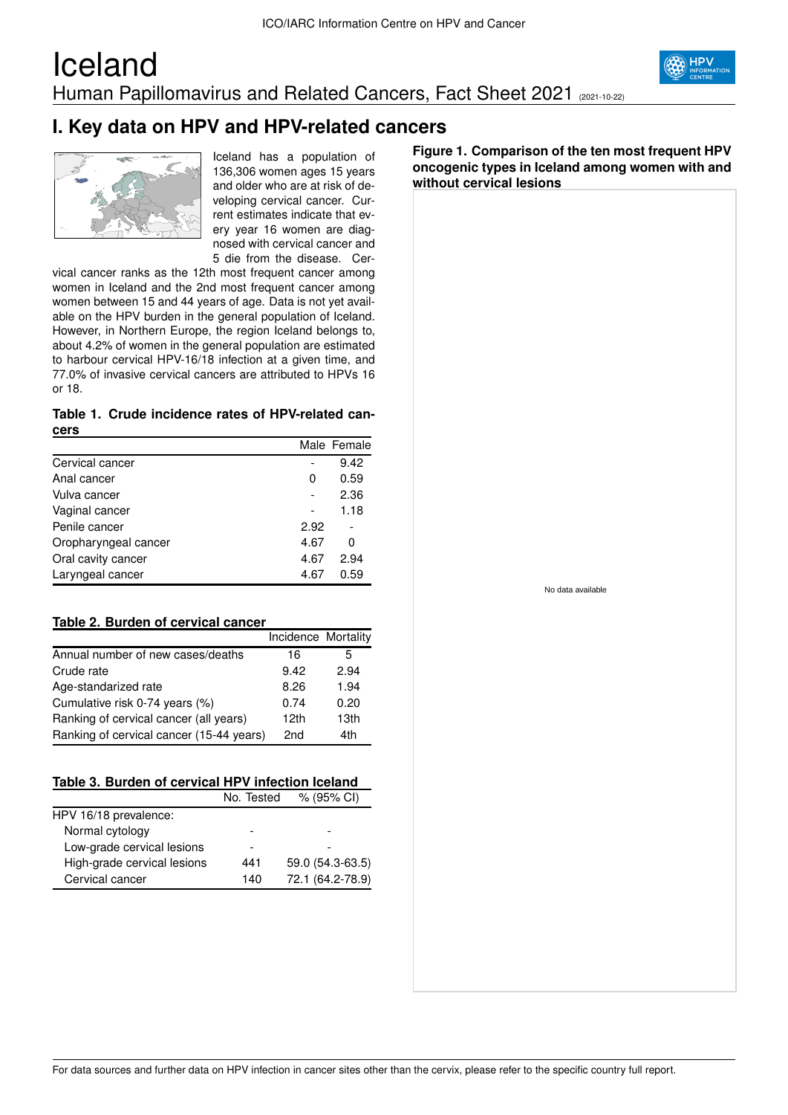### Iceland Human Papillomavirus and Related Cancers, Fact Sheet 2021 (2021-10-22)





Iceland has a population of 136,306 women ages 15 years and older who are at risk of developing cervical cancer. Current estimates indicate that every year 16 women are diagnosed with cervical cancer and 5 die from the disease. Cer-

vical cancer ranks as the 12th most frequent cancer among women in Iceland and the 2nd most frequent cancer among women between 15 and 44 years of age. Data is not yet available on the HPV burden in the general population of Iceland. However, in Northern Europe, the region Iceland belongs to, about 4.2% of women in the general population are estimated to harbour cervical HPV-16/18 infection at a given time, and 77.0% of invasive cervical cancers are attributed to HPVs 16 or 18.

#### **Table 1. Crude incidence rates of HPV-related cancers**

|                      |      | Male Female |
|----------------------|------|-------------|
| Cervical cancer      |      | 9.42        |
| Anal cancer          | 0    | 0.59        |
| Vulva cancer         |      | 2.36        |
| Vaginal cancer       |      | 1.18        |
| Penile cancer        | 2.92 |             |
| Oropharyngeal cancer | 4.67 | 0           |
| Oral cavity cancer   | 4.67 | 2.94        |
| Laryngeal cancer     | 4.67 | 0.59        |

#### **Table 2. Burden of cervical cancer**

|                                          | Incidence Mortality |      |
|------------------------------------------|---------------------|------|
| Annual number of new cases/deaths        | 16                  | 5    |
| Crude rate                               | 9.42                | 2.94 |
| Age-standarized rate                     | 8.26                | 1.94 |
| Cumulative risk 0-74 years (%)           | 0.74                | 0.20 |
| Ranking of cervical cancer (all years)   | 12 <sub>th</sub>    | 13th |
| Ranking of cervical cancer (15-44 years) | 2nd                 | 4th  |

|  | Table 3. Burden of cervical HPV infection Iceland |  |
|--|---------------------------------------------------|--|
|  |                                                   |  |

| No. Tested | % (95% CI)       |
|------------|------------------|
|            |                  |
|            |                  |
| -          |                  |
| 441        | 59.0 (54.3-63.5) |
| 140        | 72.1 (64.2-78.9) |
|            |                  |

**Figure 1. Comparison of the ten most frequent HPV oncogenic types in Iceland among women with and without cervical lesions**

No data available